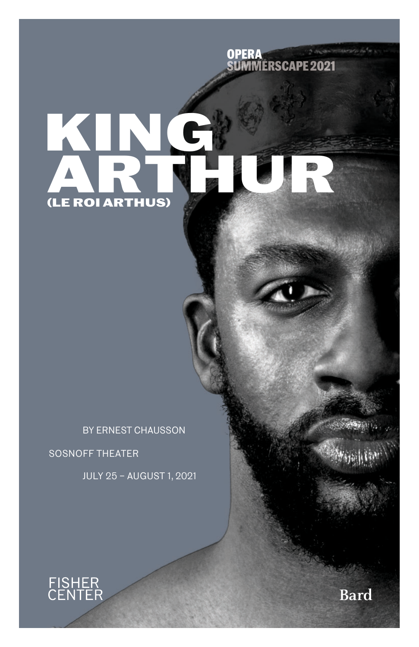

# **King (LE ROI ARTHUS) Arthur**

BY ERNEST CHAUSSON SOSNOFF THEATER

JULY 25 – AUGUST 1, 2021

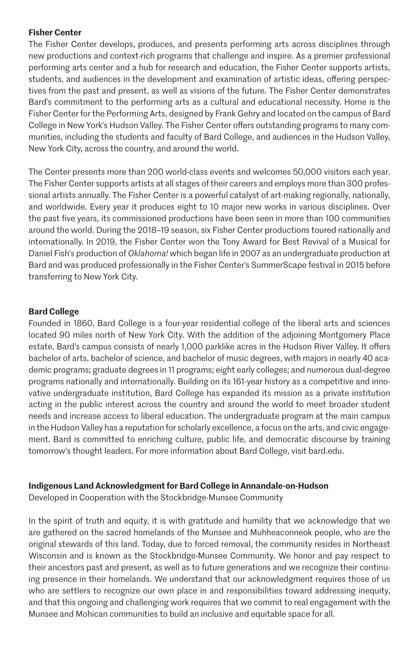## **Fisher Center**

The Fisher Center develops, produces, and presents performing arts across disciplines through new productions and context-rich programs that challenge and inspire. As a premier professional performing arts center and a hub for research and education, the Fisher Center supports artists, students, and audiences in the development and examination of artistic ideas, offering perspectives from the past and present, as well as visions of the future. The Fisher Center demonstrates Bard's commitment to the performing arts as a cultural and educational necessity. Home is the Fisher Center for the Performing Arts, designed by Frank Gehry and located on the campus of Bard College in New York's Hudson Valley. The Fisher Center offers outstanding programs to many communities, including the students and faculty of Bard College, and audiences in the Hudson Valley, New York City, across the country, and around the world.

The Center presents more than 200 world-class events and welcomes 50,000 visitors each year. The Fisher Center supports artists at all stages of their careers and employs more than 300 professional artists annually. The Fisher Center is a powerful catalyst of art-making regionally, nationally, and worldwide. Every year it produces eight to 10 major new works in various disciplines. Over the past five years, its commissioned productions have been seen in more than 100 communities around the world. During the 2018–19 season, six Fisher Center productions toured nationally and internationally. In 2019, the Fisher Center won the Tony Award for Best Revival of a Musical for Daniel Fish's production of *Oklahoma!* which began life in 2007 as an undergraduate production at Bard and was produced professionally in the Fisher Center's SummerScape festival in 2015 before transferring to New York City.

## **Bard College**

Founded in 1860, Bard College is a four-year residential college of the liberal arts and sciences located 90 miles north of New York City. With the addition of the adjoining Montgomery Place estate, Bard's campus consists of nearly 1,000 parklike acres in the Hudson River Valley. It offers bachelor of arts, bachelor of science, and bachelor of music degrees, with majors in nearly 40 academic programs; graduate degrees in 11 programs; eight early colleges; and numerous dual-degree programs nationally and internationally. Building on its 161-year history as a competitive and innovative undergraduate institution, Bard College has expanded its mission as a private institution acting in the public interest across the country and around the world to meet broader student needs and increase access to liberal education. The undergraduate program at the main campus in the Hudson Valley has a reputation for scholarly excellence, a focus on the arts, and civic engagement. Bard is committed to enriching culture, public life, and democratic discourse by training tomorrow's thought leaders. For more information about Bard College, visit bard.edu.

## **Indigenous Land Acknowledgment for Bard College in Annandale-on-Hudson**

Developed in Cooperation with the Stockbridge-Munsee Community

In the spirit of truth and equity, it is with gratitude and humility that we acknowledge that we are gathered on the sacred homelands of the Munsee and Muhheaconneok people, who are the original stewards of this land. Today, due to forced removal, the community resides in Northeast Wisconsin and is known as the Stockbridge-Munsee Community. We honor and pay respect to their ancestors past and present, as well as to future generations and we recognize their continuing presence in their homelands. We understand that our acknowledgment requires those of us who are settlers to recognize our own place in and responsibilities toward addressing inequity, and that this ongoing and challenging work requires that we commit to real engagement with the Munsee and Mohican communities to build an inclusive and equitable space for all.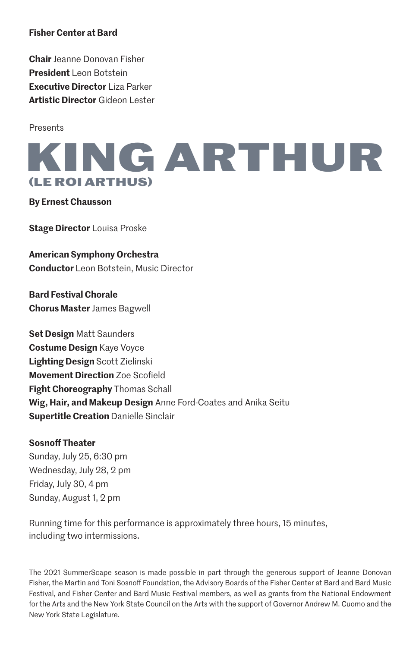## **Fisher Center at Bard**

**Chair** Jeanne Donovan Fisher **President** Leon Botstein **Executive Director** Liza Parker **Artistic Director** Gideon Lester

**Presents** 



**By Ernest Chausson**

**Stage Director** Louisa Proske

**American Symphony Orchestra Conductor** Leon Botstein, Music Director

**Bard Festival Chorale Chorus Master** James Bagwell

**Set Design** Matt Saunders **Costume Design** Kaye Voyce **Lighting Design** Scott Zielinski **Movement Direction** Zoe Scofield **Fight Choreography** Thomas Schall **Wig, Hair, and Makeup Design** Anne Ford-Coates and Anika Seitu **Supertitle Creation** Danielle Sinclair

## **Sosnoff Theater**

Sunday, July 25, 6:30 pm Wednesday, July 28, 2 pm Friday, July 30, 4 pm Sunday, August 1, 2 pm

Running time for this performance is approximately three hours, 15 minutes, including two intermissions.

The 2021 SummerScape season is made possible in part through the generous support of Jeanne Donovan Fisher, the Martin and Toni Sosnoff Foundation, the Advisory Boards of the Fisher Center at Bard and Bard Music Festival, and Fisher Center and Bard Music Festival members, as well as grants from the National Endowment for the Arts and the New York State Council on the Arts with the support of Governor Andrew M. Cuomo and the New York State Legislature.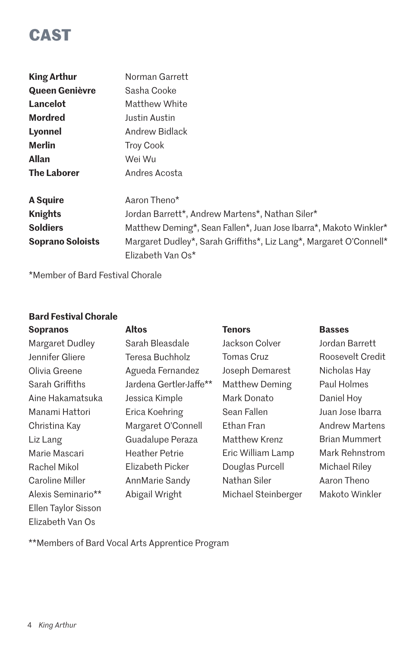# **CAST**

| <b>King Arthur</b> | Norman Garrett                                                                          |  |  |
|--------------------|-----------------------------------------------------------------------------------------|--|--|
| Queen Genièvre     | Sasha Cooke                                                                             |  |  |
| Lancelot           | Matthew White                                                                           |  |  |
| <b>Mordred</b>     | Justin Austin                                                                           |  |  |
| Lyonnel            | Andrew Bidlack                                                                          |  |  |
| <b>Merlin</b>      | <b>Troy Cook</b>                                                                        |  |  |
| <b>Allan</b>       | Wei Wu                                                                                  |  |  |
| <b>The Laborer</b> | Andres Acosta                                                                           |  |  |
| <b>A</b> Squire    | Aaron Theno*                                                                            |  |  |
| <b>Knights</b>     | Jordan Barrett*, Andrew Martens*, Nathan Siler*                                         |  |  |
| <b>Soldiers</b>    | Matthew Deming*, Sean Fallen*, Juan Jose Ibarra*, Makoto Winkler*                       |  |  |
| Soprano Soloists   | Margaret Dudley*, Sarah Griffiths*, Liz Lang*, Margaret O'Connell*<br>Elizabeth Van Os* |  |  |

\*Member of Bard Festival Chorale

## **Bard Festival Chorale**

| <b>Sopranos</b>     | <b>Altos</b>            | <b>Tenors</b>       | <b>Basses</b>        |
|---------------------|-------------------------|---------------------|----------------------|
| Margaret Dudley     | Sarah Bleasdale         | Jackson Colver      | Jordan Barrett       |
| Jennifer Gliere     | Teresa Buchholz         | Tomas Cruz          | Roosevelt Credit     |
| Olivia Greene       | Agueda Fernandez        | Joseph Demarest     | Nicholas Hay         |
| Sarah Griffiths     | Jardena Gertler-Jaffe** | Matthew Deming      | Paul Holmes          |
| Aine Hakamatsuka    | Jessica Kimple          | Mark Donato         | Daniel Hoy           |
| Manami Hattori      | Erica Koehring          | Sean Fallen         | Juan Jose Ibarra     |
| Christina Kay       | Margaret O'Connell      | Ethan Fran          | Andrew Martens       |
| Liz Lang            | Guadalupe Peraza        | Matthew Krenz       | <b>Brian Mummert</b> |
| Marie Mascari       | Heather Petrie          | Eric William Lamp   | Mark Rehnstrom       |
| Rachel Mikol        | Elizabeth Picker        | Douglas Purcell     | Michael Riley        |
| Caroline Miller     | AnnMarie Sandy          | Nathan Siler        | Aaron Theno          |
| Alexis Seminario**  | Abigail Wright          | Michael Steinberger | Makoto Winkler       |
| Ellen Taylor Sisson |                         |                     |                      |
| Elizabeth Van Os    |                         |                     |                      |

\*\*Members of Bard Vocal Arts Apprentice Program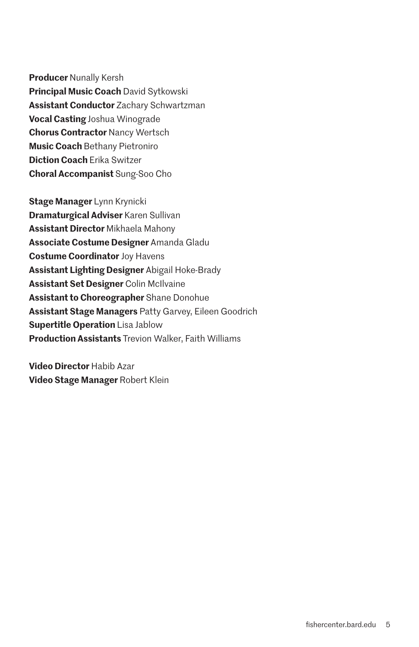**Producer** Nunally Kersh **Principal Music Coach** David Sytkowski **Assistant Conductor** Zachary Schwartzman **Vocal Casting** Joshua Winograde **Chorus Contractor** Nancy Wertsch **Music Coach** Bethany Pietroniro **Diction Coach** Erika Switzer **Choral Accompanist** Sung-Soo Cho

**Stage Manager** Lynn Krynicki **Dramaturgical Adviser** Karen Sullivan **Assistant Director** Mikhaela Mahony **Associate Costume Designer** Amanda Gladu **Costume Coordinator** Joy Havens **Assistant Lighting Designer** Abigail Hoke-Brady **Assistant Set Designer** Colin McIlvaine **Assistant to Choreographer** Shane Donohue **Assistant Stage Managers** Patty Garvey, Eileen Goodrich **Supertitle Operation** Lisa Jablow **Production Assistants** Trevion Walker, Faith Williams

**Video Director** Habib Azar **Video Stage Manager** Robert Klein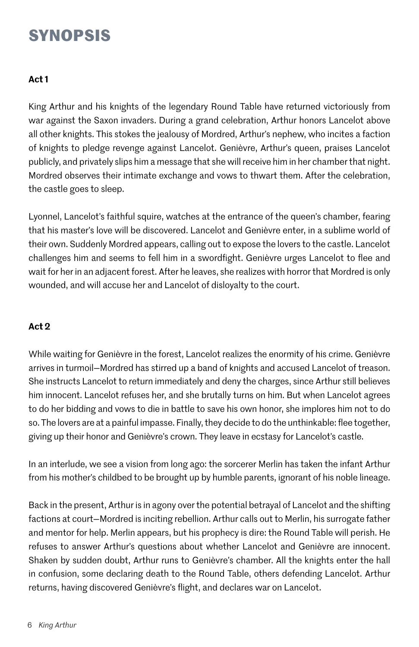## **SYNOPSIS**

## **Act 1**

King Arthur and his knights of the legendary Round Table have returned victoriously from war against the Saxon invaders. During a grand celebration, Arthur honors Lancelot above all other knights. This stokes the jealousy of Mordred, Arthur's nephew, who incites a faction of knights to pledge revenge against Lancelot. Genièvre, Arthur's queen, praises Lancelot publicly, and privately slips him a message that she will receive him in her chamber that night. Mordred observes their intimate exchange and vows to thwart them. After the celebration, the castle goes to sleep.

Lyonnel, Lancelot's faithful squire, watches at the entrance of the queen's chamber, fearing that his master's love will be discovered. Lancelot and Genièvre enter, in a sublime world of their own. Suddenly Mordred appears, calling out to expose the lovers to the castle. Lancelot challenges him and seems to fell him in a swordfight. Genièvre urges Lancelot to flee and wait for her in an adjacent forest. After he leaves, she realizes with horror that Mordred is only wounded, and will accuse her and Lancelot of disloyalty to the court.

## **Act 2**

While waiting for Genièvre in the forest, Lancelot realizes the enormity of his crime. Genièvre arrives in turmoil—Mordred has stirred up a band of knights and accused Lancelot of treason. She instructs Lancelot to return immediately and deny the charges, since Arthur still believes him innocent. Lancelot refuses her, and she brutally turns on him. But when Lancelot agrees to do her bidding and vows to die in battle to save his own honor, she implores him not to do so. The lovers are at a painful impasse. Finally, they decide to do the unthinkable: flee together, giving up their honor and Genièvre's crown. They leave in ecstasy for Lancelot's castle.

In an interlude, we see a vision from long ago: the sorcerer Merlin has taken the infant Arthur from his mother's childbed to be brought up by humble parents, ignorant of his noble lineage.

Back in the present, Arthur is in agony over the potential betrayal of Lancelot and the shifting factions at court—Mordred is inciting rebellion. Arthur calls out to Merlin, his surrogate father and mentor for help. Merlin appears, but his prophecy is dire: the Round Table will perish. He refuses to answer Arthur's questions about whether Lancelot and Genièvre are innocent. Shaken by sudden doubt, Arthur runs to Genièvre's chamber. All the knights enter the hall in confusion, some declaring death to the Round Table, others defending Lancelot. Arthur returns, having discovered Genièvre's flight, and declares war on Lancelot.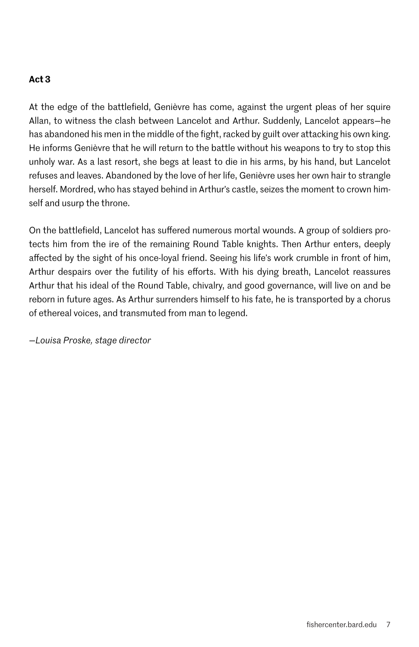## **Act 3**

At the edge of the battlefield, Genièvre has come, against the urgent pleas of her squire Allan, to witness the clash between Lancelot and Arthur. Suddenly, Lancelot appears—he has abandoned his men in the middle of the fight, racked by guilt over attacking his own king. He informs Genièvre that he will return to the battle without his weapons to try to stop this unholy war. As a last resort, she begs at least to die in his arms, by his hand, but Lancelot refuses and leaves. Abandoned by the love of her life, Genièvre uses her own hair to strangle herself. Mordred, who has stayed behind in Arthur's castle, seizes the moment to crown himself and usurp the throne.

On the battlefield, Lancelot has suffered numerous mortal wounds. A group of soldiers protects him from the ire of the remaining Round Table knights. Then Arthur enters, deeply affected by the sight of his once-loyal friend. Seeing his life's work crumble in front of him, Arthur despairs over the futility of his efforts. With his dying breath, Lancelot reassures Arthur that his ideal of the Round Table, chivalry, and good governance, will live on and be reborn in future ages. As Arthur surrenders himself to his fate, he is transported by a chorus of ethereal voices, and transmuted from man to legend.

*—Louisa Proske, stage director*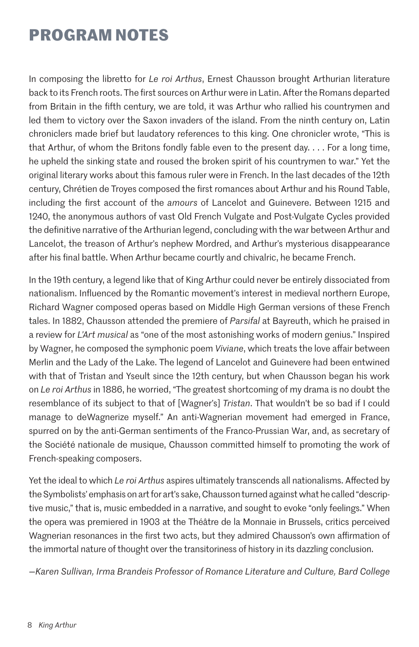## **PROGRAM NOTES**

In composing the libretto for *Le roi Arthus*, Ernest Chausson brought Arthurian literature back to its French roots. The first sources on Arthur were in Latin. After the Romans departed from Britain in the fifth century, we are told, it was Arthur who rallied his countrymen and led them to victory over the Saxon invaders of the island. From the ninth century on, Latin chroniclers made brief but laudatory references to this king. One chronicler wrote, "This is that Arthur, of whom the Britons fondly fable even to the present day. . . . For a long time, he upheld the sinking state and roused the broken spirit of his countrymen to war." Yet the original literary works about this famous ruler were in French. In the last decades of the 12th century, Chrétien de Troyes composed the first romances about Arthur and his Round Table, including the first account of the *amours* of Lancelot and Guinevere. Between 1215 and 1240, the anonymous authors of vast Old French Vulgate and Post-Vulgate Cycles provided the definitive narrative of the Arthurian legend, concluding with the war between Arthur and Lancelot, the treason of Arthur's nephew Mordred, and Arthur's mysterious disappearance after his final battle. When Arthur became courtly and chivalric, he became French.

In the 19th century, a legend like that of King Arthur could never be entirely dissociated from nationalism. Influenced by the Romantic movement's interest in medieval northern Europe, Richard Wagner composed operas based on Middle High German versions of these French tales. In 1882, Chausson attended the premiere of *Parsifal* at Bayreuth, which he praised in a review for *L'Art musical* as "one of the most astonishing works of modern genius." Inspired by Wagner, he composed the symphonic poem *Viviane*, which treats the love affair between Merlin and the Lady of the Lake. The legend of Lancelot and Guinevere had been entwined with that of Tristan and Yseult since the 12th century, but when Chausson began his work on *Le roi Arthus* in 1886, he worried, "The greatest shortcoming of my drama is no doubt the resemblance of its subject to that of [Wagner's] *Tristan*. That wouldn't be so bad if I could manage to deWagnerize myself." An anti-Wagnerian movement had emerged in France, spurred on by the anti-German sentiments of the Franco-Prussian War, and, as secretary of the Société nationale de musique, Chausson committed himself to promoting the work of French-speaking composers.

Yet the ideal to which *Le roi Arthus* aspires ultimately transcends all nationalisms. Affected by the Symbolists' emphasis on art for art's sake, Chausson turned against what he called "descriptive music," that is, music embedded in a narrative, and sought to evoke "only feelings." When the opera was premiered in 1903 at the Théâtre de la Monnaie in Brussels, critics perceived Wagnerian resonances in the first two acts, but they admired Chausson's own affirmation of the immortal nature of thought over the transitoriness of history in its dazzling conclusion.

*—Karen Sullivan, Irma Brandeis Professor of Romance Literature and Culture, Bard College*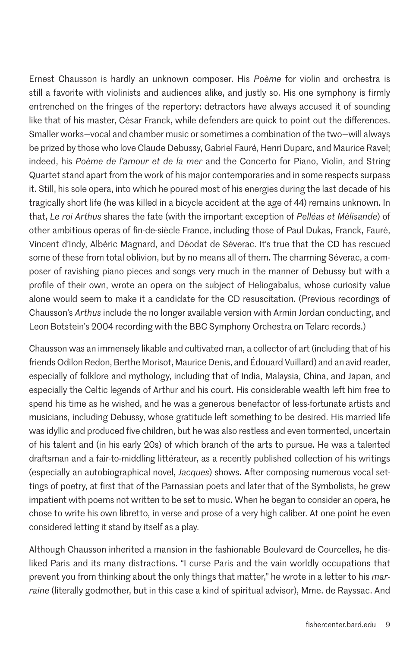Ernest Chausson is hardly an unknown composer. His *Poème* for violin and orchestra is still a favorite with violinists and audiences alike, and justly so. His one symphony is firmly entrenched on the fringes of the repertory: detractors have always accused it of sounding like that of his master, César Franck, while defenders are quick to point out the differences. Smaller works—vocal and chamber music or sometimes a combination of the two—will always be prized by those who love Claude Debussy, Gabriel Fauré, Henri Duparc, and Maurice Ravel; indeed, his *Poème de l'amour et de la mer* and the Concerto for Piano, Violin, and String Quartet stand apart from the work of his major contemporaries and in some respects surpass it. Still, his sole opera, into which he poured most of his energies during the last decade of his tragically short life (he was killed in a bicycle accident at the age of 44) remains unknown. In that, *Le roi Arthus* shares the fate (with the important exception of *Pelléas et Mélisande*) of other ambitious operas of fin-de-siècle France, including those of Paul Dukas, Franck, Fauré, Vincent d'Indy, Albéric Magnard, and Déodat de Séverac. It's true that the CD has rescued some of these from total oblivion, but by no means all of them. The charming Séverac, a composer of ravishing piano pieces and songs very much in the manner of Debussy but with a profile of their own, wrote an opera on the subject of Heliogabalus, whose curiosity value alone would seem to make it a candidate for the CD resuscitation. (Previous recordings of Chausson's *Arthus* include the no longer available version with Armin Jordan conducting, and Leon Botstein's 2004 recording with the BBC Symphony Orchestra on Telarc records.)

Chausson was an immensely likable and cultivated man, a collector of art (including that of his friends Odilon Redon, Berthe Morisot, Maurice Denis, and Édouard Vuillard) and an avid reader, especially of folklore and mythology, including that of India, Malaysia, China, and Japan, and especially the Celtic legends of Arthur and his court. His considerable wealth left him free to spend his time as he wished, and he was a generous benefactor of less-fortunate artists and musicians, including Debussy, whose gratitude left something to be desired. His married life was idyllic and produced five children, but he was also restless and even tormented, uncertain of his talent and (in his early 20s) of which branch of the arts to pursue. He was a talented draftsman and a fair-to-middling littérateur, as a recently published collection of his writings (especially an autobiographical novel, *Jacques*) shows. After composing numerous vocal settings of poetry, at first that of the Parnassian poets and later that of the Symbolists, he grew impatient with poems not written to be set to music. When he began to consider an opera, he chose to write his own libretto, in verse and prose of a very high caliber. At one point he even considered letting it stand by itself as a play.

Although Chausson inherited a mansion in the fashionable Boulevard de Courcelles, he disliked Paris and its many distractions. "I curse Paris and the vain worldly occupations that prevent you from thinking about the only things that matter," he wrote in a letter to his *marraine* (literally godmother, but in this case a kind of spiritual advisor), Mme. de Rayssac. And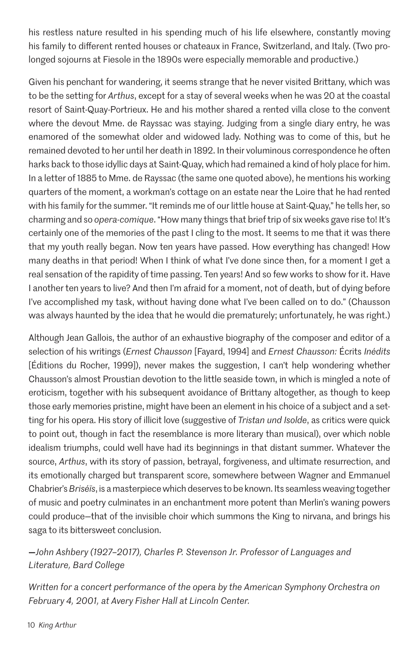his restless nature resulted in his spending much of his life elsewhere, constantly moving his family to different rented houses or chateaux in France, Switzerland, and Italy. (Two prolonged sojourns at Fiesole in the 1890s were especially memorable and productive.)

Given his penchant for wandering, it seems strange that he never visited Brittany, which was to be the setting for *Arthus*, except for a stay of several weeks when he was 20 at the coastal resort of Saint-Quay-Portrieux. He and his mother shared a rented villa close to the convent where the devout Mme. de Rayssac was staying. Judging from a single diary entry, he was enamored of the somewhat older and widowed lady. Nothing was to come of this, but he remained devoted to her until her death in 1892. In their voluminous correspondence he often harks back to those idyllic days at Saint-Quay, which had remained a kind of holy place for him. In a letter of 1885 to Mme. de Rayssac (the same one quoted above), he mentions his working quarters of the moment, a workman's cottage on an estate near the Loire that he had rented with his family for the summer. "It reminds me of our little house at Saint-Quay," he tells her, so charming and so *opera-comique*. "How many things that brief trip of six weeks gave rise to! It's certainly one of the memories of the past I cling to the most. It seems to me that it was there that my youth really began. Now ten years have passed. How everything has changed! How many deaths in that period! When I think of what I've done since then, for a moment I get a real sensation of the rapidity of time passing. Ten years! And so few works to show for it. Have I another ten years to live? And then I'm afraid for a moment, not of death, but of dying before I've accomplished my task, without having done what I've been called on to do." (Chausson was always haunted by the idea that he would die prematurely; unfortunately, he was right.)

Although Jean Gallois, the author of an exhaustive biography of the composer and editor of a selection of his writings (*Ernest Chausson* [Fayard, 1994] and *Ernest Chausson:* Écrits *Inédits* [Éditions du Rocher, 1999]), never makes the suggestion, I can't help wondering whether Chausson's almost Proustian devotion to the little seaside town, in which is mingled a note of eroticism, together with his subsequent avoidance of Brittany altogether, as though to keep those early memories pristine, might have been an element in his choice of a subject and a setting for his opera. His story of illicit love (suggestive of *Tristan und Isolde*, as critics were quick to point out, though in fact the resemblance is more literary than musical), over which noble idealism triumphs, could well have had its beginnings in that distant summer. Whatever the source, *Arthus*, with its story of passion, betrayal, forgiveness, and ultimate resurrection, and its emotionally charged but transparent score, somewhere between Wagner and Emmanuel Chabrier's *Briséïs*, is a masterpiece which deserves to be known. Its seamless weaving together of music and poetry culminates in an enchantment more potent than Merlin's waning powers could produce—that of the invisible choir which summons the King to nirvana, and brings his saga to its bittersweet conclusion.

## **—***John Ashbery (1927–2017), Charles P. Stevenson Jr. Professor of Languages and Literature, Bard College*

*Written for a concert performance of the opera by the American Symphony Orchestra on February 4, 2001, at Avery Fisher Hall at Lincoln Center.*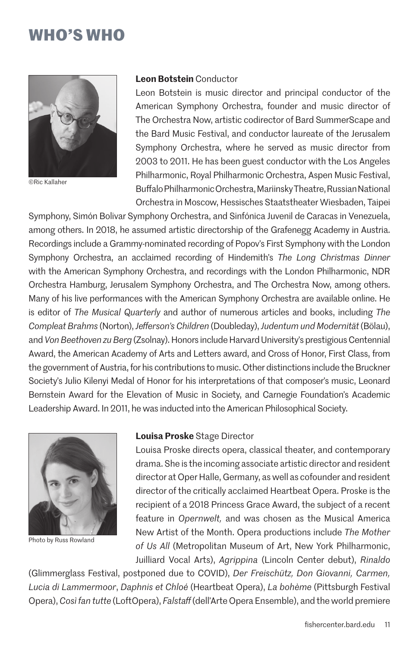## **WHO'S WHO**



©Ric Kallaher

## **Leon Botstein** Conductor

Leon Botstein is music director and principal conductor of the American Symphony Orchestra, founder and music director of The Orchestra Now, artistic codirector of Bard SummerScape and the Bard Music Festival, and conductor laureate of the Jerusalem Symphony Orchestra, where he served as music director from 2003 to 2011. He has been guest conductor with the Los Angeles Philharmonic, Royal Philharmonic Orchestra, Aspen Music Festival, Buffalo Philharmonic Orchestra, Mariinsky Theatre, Russian National Orchestra in Moscow, Hessisches Staatstheater Wiesbaden, Taipei

Symphony, Simón Bolivar Symphony Orchestra, and Sinfónica Juvenil de Caracas in Venezuela, among others. In 2018, he assumed artistic directorship of the Grafenegg Academy in Austria. Recordings include a Grammy-nominated recording of Popov's First Symphony with the London Symphony Orchestra, an acclaimed recording of Hindemith's *The Long Christmas Dinner* with the American Symphony Orchestra, and recordings with the London Philharmonic, NDR Orchestra Hamburg, Jerusalem Symphony Orchestra, and The Orchestra Now, among others. Many of his live performances with the American Symphony Orchestra are available online. He is editor of *The Musical Quarterly* and author of numerous articles and books, including *The Compleat Brahms* (Norton), *Jefferson's Children* (Doubleday), *Judentum und Modernität* (Bölau), and *Von Beethoven zu Berg* (Zsolnay). Honors include Harvard University's prestigious Centennial Award, the American Academy of Arts and Letters award, and Cross of Honor, First Class, from the government of Austria, for his contributions to music. Other distinctions include the Bruckner Society's Julio Kilenyi Medal of Honor for his interpretations of that composer's music, Leonard Bernstein Award for the Elevation of Music in Society, and Carnegie Foundation's Academic Leadership Award. In 2011, he was inducted into the American Philosophical Society.



Photo by Russ Rowland

#### **Louisa Proske** Stage Director

Louisa Proske directs opera, classical theater, and contemporary drama. She is the incoming associate artistic director and resident director at Oper Halle, Germany, as well as cofounder and resident director of the critically acclaimed Heartbeat Opera. Proske is the recipient of a 2018 Princess Grace Award, the subject of a recent feature in *Opernwelt,* and was chosen as the Musical America New Artist of the Month. Opera productions include *The Mother of Us All* (Metropolitan Museum of Art, New York Philharmonic, Juilliard Vocal Arts), *Agrippina* (Lincoln Center debut), *Rinaldo*

(Glimmerglass Festival, postponed due to COVID), *Der Freischütz, Don Giovanni, Carmen, Lucia di Lammermoor*, *Daphnis et Chloé* (Heartbeat Opera), *La bohème* (Pittsburgh Festival Opera), *Così fan tutte* (LoftOpera), *Falstaff* (dell'Arte Opera Ensemble), and the world premiere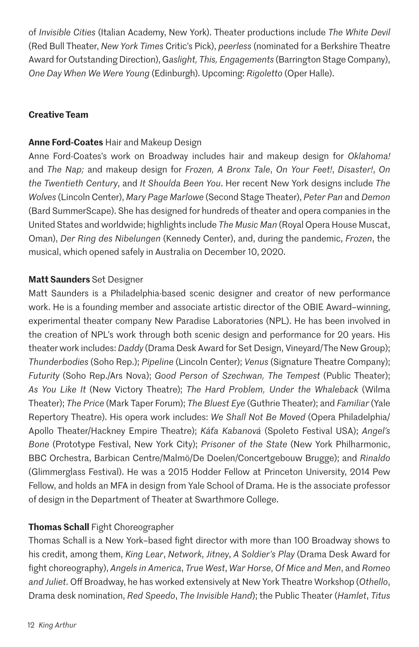of *Invisible Cities* (Italian Academy, New York). Theater productions include *The White Devil* (Red Bull Theater, *New York Times* Critic's Pick), *peerless* (nominated for a Berkshire Theatre Award for Outstanding Direction), G*aslight, This, Engagements* (Barrington Stage Company), *One Day When We Were Young* (Edinburgh). Upcoming: *Rigoletto* (Oper Halle).

## **Creative Team**

## **Anne Ford-Coates** Hair and Makeup Design

Anne Ford-Coates's work on Broadway includes hair and makeup design for *Oklahoma!* and *The Nap;* and makeup design for *Frozen, A Bronx Tale*, *On Your Feet!*, *Disaster!*, *On the Twentieth Century*, and *It Shoulda Been You*. Her recent New York designs include *The Wolves* (Lincoln Center), *Mary Page Marlowe* (Second Stage Theater), *Peter Pan* and *Demon* (Bard SummerScape). She has designed for hundreds of theater and opera companies in the United States and worldwide; highlights include *The Music Man* (Royal Opera House Muscat, Oman), *Der Ring des Nibelungen* (Kennedy Center), and, during the pandemic, *Frozen*, the musical, which opened safely in Australia on December 10, 2020.

## **Matt Saunders** Set Designer

Matt Saunders is a Philadelphia-based scenic designer and creator of new performance work. He is a founding member and associate artistic director of the OBIE Award–winning, experimental theater company New Paradise Laboratories (NPL). He has been involved in the creation of NPL's work through both scenic design and performance for 20 years. His theater work includes: *Daddy* (Drama Desk Award for Set Design, Vineyard/The New Group); *Thunderbodies* (Soho Rep.); *Pipeline* (Lincoln Center); *Venus* (Signature Theatre Company); *Futurity* (Soho Rep./Ars Nova); *Good Person of Szechwan, The Tempest* (Public Theater); *As You Like It* (New Victory Theatre); *The Hard Problem, Under the Whaleback* (Wilma Theater); *The Price* (Mark Taper Forum); *The Bluest Eye* (Guthrie Theater); and *Familiar* (Yale Repertory Theatre). His opera work includes: *We Shall Not Be Moved* (Opera Philadelphia/ Apollo Theater/Hackney Empire Theatre); *Káťa Kabanová* (Spoleto Festival USA); *Angel's Bone* (Prototype Festival, New York City); *Prisoner of the State* (New York Philharmonic, BBC Orchestra, Barbican Centre/Malmö/De Doelen/Concertgebouw Brugge); and *Rinaldo*  (Glimmerglass Festival). He was a 2015 Hodder Fellow at Princeton University, 2014 Pew Fellow, and holds an MFA in design from Yale School of Drama. He is the associate professor of design in the Department of Theater at Swarthmore College.

## **Thomas Schall** Fight Choreographer

Thomas Schall is a New York–based fight director with more than 100 Broadway shows to his credit, among them, *King Lear*, *Network*, *Jitney*, *A Soldier's Play* (Drama Desk Award for fight choreography), *Angels in America*, *True West*, *War Horse*, *Of Mice and Men*, and *Romeo and Juliet*. Off Broadway, he has worked extensively at New York Theatre Workshop (*Othello*, Drama desk nomination, *Red Speedo*, *The Invisible Hand*); the Public Theater (*Hamlet*, *Titus*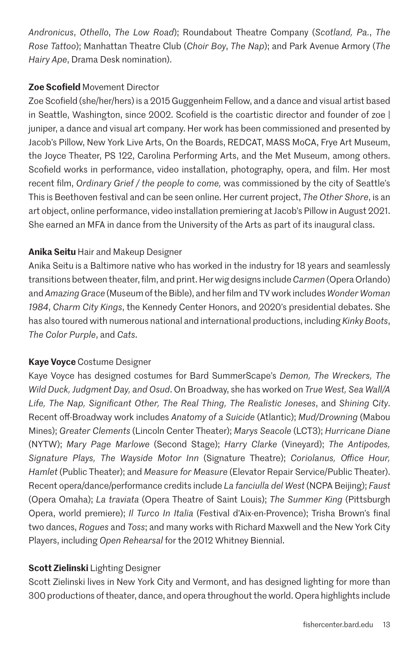*Andronicus*, *Othello*, *The Low Road*); Roundabout Theatre Company (*Scotland, Pa.*, *The Rose Tattoo*); Manhattan Theatre Club (*Choir Boy*, *The Nap*); and Park Avenue Armory (*The Hairy Ape*, Drama Desk nomination).

## **Zoe Scofield** Movement Director

Zoe Scofield (she/her/hers) is a 2015 Guggenheim Fellow, and a dance and visual artist based in Seattle, Washington, since 2002. Scofield is the coartistic director and founder of zoe | juniper, a dance and visual art company. Her work has been commissioned and presented by Jacob's Pillow, New York Live Arts, On the Boards, REDCAT, MASS MoCA, Frye Art Museum, the Joyce Theater, PS 122, Carolina Performing Arts, and the Met Museum, among others. Scofield works in performance, video installation, photography, opera, and film. Her most recent film, *Ordinary Grief / the people to come,* was commissioned by the city of Seattle's This is Beethoven festival and can be seen online. Her current project, *The Other Shore*, is an art object, online performance, video installation premiering at Jacob's Pillow in August 2021. She earned an MFA in dance from the University of the Arts as part of its inaugural class.

## **Anika Seitu** Hair and Makeup Designer

Anika Seitu is a Baltimore native who has worked in the industry for 18 years and seamlessly transitions between theater, film, and print. Her wig designs include *Carmen* (Opera Orlando) and *Amazing Grace* (Museum of the Bible), and her film and TV work includes *Wonder Woman 1984*, *Charm City Kings*, the Kennedy Center Honors, and 2020's presidential debates. She has also toured with numerous national and international productions, including *Kinky Boots*, *The Color Purple*, and *Cats*.

## **Kaye Voyce** Costume Designer

Kaye Voyce has designed costumes for Bard SummerScape's *Demon, The Wreckers, The Wild Duck, Judgment Day, and Osud*. On Broadway, she has worked on *True West, Sea Wall/A Life, The Nap, Significant Other, The Real Thing, The Realistic Joneses*, and *Shining* C*ity*. Recent off-Broadway work includes *Anatomy of a Suicide* (Atlantic); *Mud/Drowning* (Mabou Mines); *Greater Clements* (Lincoln Center Theater); *Marys Seacole* (LCT3); *Hurricane Diane* (NYTW); *Mary Page Marlowe* (Second Stage); *Harry Clarke* (Vineyard); *The Antipodes, Signature Plays, The Wayside Motor Inn* (Signature Theatre); *Coriolanus, Office Hour, Hamlet* (Public Theater); and *Measure for Measure* (Elevator Repair Service/Public Theater). Recent opera/dance/performance credits include *La fanciulla del West* (NCPA Beijing); *Faust* (Opera Omaha); *La traviata* (Opera Theatre of Saint Louis); *The Summer King* (Pittsburgh Opera, world premiere); *Il Turco In Italia* (Festival d'Aix-en-Provence); Trisha Brown's final two dances, *Rogues* and *Toss*; and many works with Richard Maxwell and the New York City Players, including *Open Rehearsal* for the 2012 Whitney Biennial.

## **Scott Zielinski** Lighting Designer

Scott Zielinski lives in New York City and Vermont, and has designed lighting for more than 300 productions of theater, dance, and opera throughout the world. Opera highlights include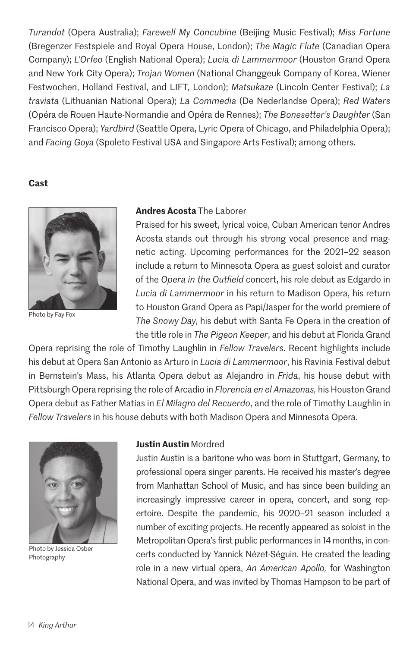*Turandot* (Opera Australia); *Farewell My Concubine* (Beijing Music Festival); *Miss Fortune* (Bregenzer Festspiele and Royal Opera House, London); *The Magic Flute* (Canadian Opera Company); *L'Orfeo* (English National Opera); *Lucia di Lammermoor* (Houston Grand Opera and New York City Opera); *Trojan Women* (National Changgeuk Company of Korea, Wiener Festwochen, Holland Festival, and LIFT, London); *Matsukaze* (Lincoln Center Festival); *La traviata* (Lithuanian National Opera); *La Commedia* (De Nederlandse Opera); *Red Waters* (Opéra de Rouen Haute-Normandie and Opéra de Rennes); *The Bonesetter's Daughter* (San Francisco Opera); *Yardbird* (Seattle Opera, Lyric Opera of Chicago, and Philadelphia Opera); and *Facing Goya* (Spoleto Festival USA and Singapore Arts Festival); among others.

### **Cast**



Photo by Fay Fox

## **Andres Acosta** The Laborer

Praised for his sweet, lyrical voice, Cuban American tenor Andres Acosta stands out through his strong vocal presence and magnetic acting. Upcoming performances for the 2021–22 season include a return to Minnesota Opera as guest soloist and curator of the *Opera in the Outfield* concert, his role debut as Edgardo in *Lucia di Lammermoor* in his return to Madison Opera, his return to Houston Grand Opera as Papi/Jasper for the world premiere of *The Snowy Day*, his debut with Santa Fe Opera in the creation of the title role in *The Pigeon Keeper*, and his debut at Florida Grand

Opera reprising the role of Timothy Laughlin in *Fellow Travelers*. Recent highlights include his debut at Opera San Antonio as Arturo in *Lucia di Lammermoor*, his Ravinia Festival debut in Bernstein's Mass, his Atlanta Opera debut as Alejandro in *Frida*, his house debut with Pittsburgh Opera reprising the role of Arcadio in *Florencia en el Amazonas,* his Houston Grand Opera debut as Father Matías in *El Milagro del Recuerdo*, and the role of Timothy Laughlin in *Fellow Travelers* in his house debuts with both Madison Opera and Minnesota Opera.



Photo by Jessica Osber Photography

## **Justin Austin** Mordred

Justin Austin is a baritone who was born in Stuttgart, Germany, to professional opera singer parents. He received his master's degree from Manhattan School of Music, and has since been building an increasingly impressive career in opera, concert, and song repertoire. Despite the pandemic, his 2020–21 season included a number of exciting projects. He recently appeared as soloist in the Metropolitan Opera's first public performances in 14 months, in concerts conducted by Yannick Nézet-Séguin. He created the leading role in a new virtual opera, *An American Apollo,* for Washington National Opera, and was invited by Thomas Hampson to be part of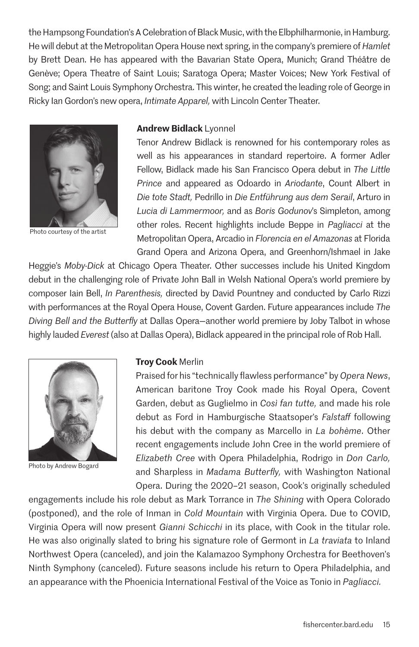the Hampsong Foundation's A Celebration of Black Music, with the Elbphilharmonie, in Hamburg. He will debut at the Metropolitan Opera House next spring, in the company's premiere of *Hamlet* by Brett Dean. He has appeared with the Bavarian State Opera, Munich; Grand Théâtre de Genève; Opera Theatre of Saint Louis; Saratoga Opera; Master Voices; New York Festival of Song; and Saint Louis Symphony Orchestra. This winter, he created the leading role of George in Ricky Ian Gordon's new opera, *Intimate Apparel,* with Lincoln Center Theater.



Photo courtesy of the artist

## **Andrew Bidlack** Lyonnel

Tenor Andrew Bidlack is renowned for his contemporary roles as well as his appearances in standard repertoire. A former Adler Fellow, Bidlack made his San Francisco Opera debut in *The Little Prince* and appeared as Odoardo in *Ariodante*, Count Albert in *Die tote Stadt,* Pedrillo in *Die Entführung aus dem Serail*, Arturo in *Lucia di Lammermoor,* and as *Boris Godunov*'s Simpleton, among other roles. Recent highlights include Beppe in *Pagliacci* at the Metropolitan Opera, Arcadio in *Florencia en el Amazonas* at Florida Grand Opera and Arizona Opera, and Greenhorn/Ishmael in Jake

Heggie's *Moby-Dick* at Chicago Opera Theater. Other successes include his United Kingdom debut in the challenging role of Private John Ball in Welsh National Opera's world premiere by composer Iain Bell, *In Parenthesis,* directed by David Pountney and conducted by Carlo Rizzi with performances at the Royal Opera House, Covent Garden. Future appearances include *The Diving Bell and the Butterfly* at Dallas Opera—another world premiere by Joby Talbot in whose highly lauded *Everest* (also at Dallas Opera), Bidlack appeared in the principal role of Rob Hall.



Photo by Andrew Bogard

#### **Troy Cook** Merlin

Praised for his "technically flawless performance" by *Opera News*, American baritone Troy Cook made his Royal Opera, Covent Garden, debut as Guglielmo in *Così fan tutte,* and made his role debut as Ford in Hamburgische Staatsoper's *Falstaff* following his debut with the company as Marcello in *La bohème*. Other recent engagements include John Cree in the world premiere of *Elizabeth Cree* with Opera Philadelphia, Rodrigo in *Don Carlo,*  and Sharpless in *Madama Butterfly,* with Washington National Opera. During the 2020–21 season, Cook's originally scheduled

engagements include his role debut as Mark Torrance in *The Shining* with Opera Colorado (postponed), and the role of Inman in *Cold Mountain* with Virginia Opera. Due to COVID, Virginia Opera will now present *Gianni Schicchi* in its place, with Cook in the titular role. He was also originally slated to bring his signature role of Germont in *La traviata* to Inland Northwest Opera (canceled), and join the Kalamazoo Symphony Orchestra for Beethoven's Ninth Symphony (canceled). Future seasons include his return to Opera Philadelphia, and an appearance with the Phoenicia International Festival of the Voice as Tonio in *Pagliacci.*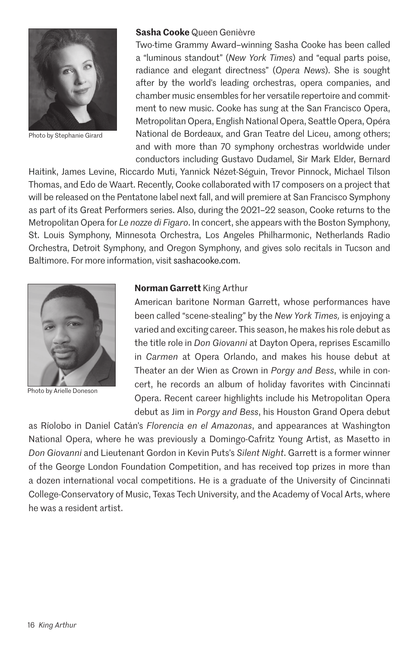

Photo by Stephanie Girard

#### **Sasha Cooke** Queen Genièvre

Two-time Grammy Award–winning Sasha Cooke has been called a "luminous standout" (*New York Times*) and "equal parts poise, radiance and elegant directness" (*Opera News*). She is sought after by the world's leading orchestras, opera companies, and chamber music ensembles for her versatile repertoire and commitment to new music. Cooke has sung at the San Francisco Opera, Metropolitan Opera, English National Opera, Seattle Opera, Opéra National de Bordeaux, and Gran Teatre del Liceu, among others; and with more than 70 symphony orchestras worldwide under conductors including Gustavo Dudamel, Sir Mark Elder, Bernard

Haitink, James Levine, Riccardo Muti, Yannick Nézet-Séguin, Trevor Pinnock, Michael Tilson Thomas, and Edo de Waart. Recently, Cooke collaborated with 17 composers on a project that will be released on the Pentatone label next fall, and will premiere at San Francisco Symphony as part of its Great Performers series. Also, during the 2021–22 season, Cooke returns to the Metropolitan Opera for *Le nozze di Figaro*. In concert, she appears with the Boston Symphony, St. Louis Symphony, Minnesota Orchestra, Los Angeles Philharmonic, Netherlands Radio Orchestra, Detroit Symphony, and Oregon Symphony, and gives solo recitals in Tucson and Baltimore. For more information, visit sashacooke.com.



Photo by Arielle Doneson

## **Norman Garrett** King Arthur

American baritone Norman Garrett, whose performances have been called "scene-stealing" by the *New York Times,* is enjoying a varied and exciting career. This season, he makes his role debut as the title role in *Don Giovanni* at Dayton Opera, reprises Escamillo in *Carmen* at Opera Orlando, and makes his house debut at Theater an der Wien as Crown in *Porgy and Bess*, while in concert, he records an album of holiday favorites with Cincinnati Opera. Recent career highlights include his Metropolitan Opera debut as Jim in *Porgy and Bess*, his Houston Grand Opera debut

as Ríolobo in Daniel Catán's *Florencia en el Amazonas*, and appearances at Washington National Opera, where he was previously a Domingo-Cafritz Young Artist, as Masetto in *Don Giovanni* and Lieutenant Gordon in Kevin Puts's *Silent Night*. Garrett is a former winner of the George London Foundation Competition, and has received top prizes in more than a dozen international vocal competitions. He is a graduate of the University of Cincinnati College-Conservatory of Music, Texas Tech University, and the Academy of Vocal Arts, where he was a resident artist.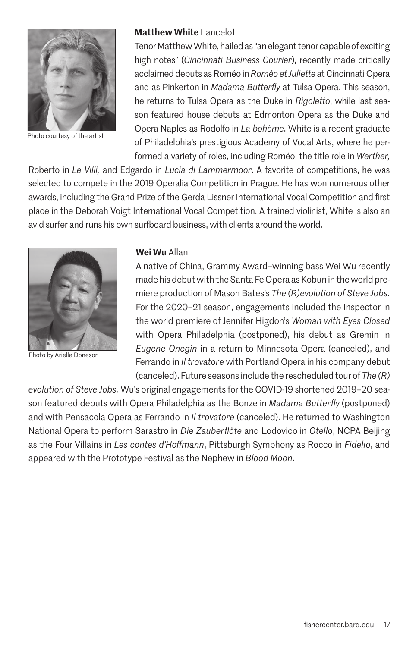

Photo courtesy of the artist

## **Matthew White** Lancelot

Tenor Matthew White, hailed as "an elegant tenor capable of exciting high notes" (*Cincinnati Business Courier*), recently made critically acclaimed debuts as Roméo in *Roméo et Juliette* at Cincinnati Opera and as Pinkerton in *Madama Butterfly* at Tulsa Opera. This season, he returns to Tulsa Opera as the Duke in *Rigoletto*, while last season featured house debuts at Edmonton Opera as the Duke and Opera Naples as Rodolfo in *La bohème*. White is a recent graduate of Philadelphia's prestigious Academy of Vocal Arts, where he performed a variety of roles, including Roméo, the title role in *Werther,* 

Roberto in *Le Villi,* and Edgardo in *Lucia di Lammermoor*. A favorite of competitions, he was selected to compete in the 2019 Operalia Competition in Prague. He has won numerous other awards, including the Grand Prize of the Gerda Lissner International Vocal Competition and first place in the Deborah Voigt International Vocal Competition. A trained violinist, White is also an avid surfer and runs his own surfboard business, with clients around the world.



Photo by Arielle Doneson

## **Wei Wu** Allan

A native of China, Grammy Award–winning bass Wei Wu recently made his debut with the Santa Fe Opera as Kobun in the world premiere production of Mason Bates's *The (R)evolution of Steve Jobs.* For the 2020–21 season, engagements included the Inspector in the world premiere of Jennifer Higdon's *Woman with Eyes Closed*  with Opera Philadelphia (postponed), his debut as Gremin in *Eugene Onegin* in a return to Minnesota Opera (canceled), and Ferrando in *Il trovatore* with Portland Opera in his company debut (canceled). Future seasons include the rescheduled tour of *The (R)*

*evolution of Steve Jobs.* Wu's original engagements for the COVID-19 shortened 2019–20 season featured debuts with Opera Philadelphia as the Bonze in *Madama Butterfly* (postponed) and with Pensacola Opera as Ferrando in *Il trovatore* (canceled). He returned to Washington National Opera to perform Sarastro in *Die Zauberflöte* and Lodovico in *Otello*, NCPA Beijing as the Four Villains in *Les contes d'Hoffmann*, Pittsburgh Symphony as Rocco in *Fidelio*, and appeared with the Prototype Festival as the Nephew in *Blood Moon*.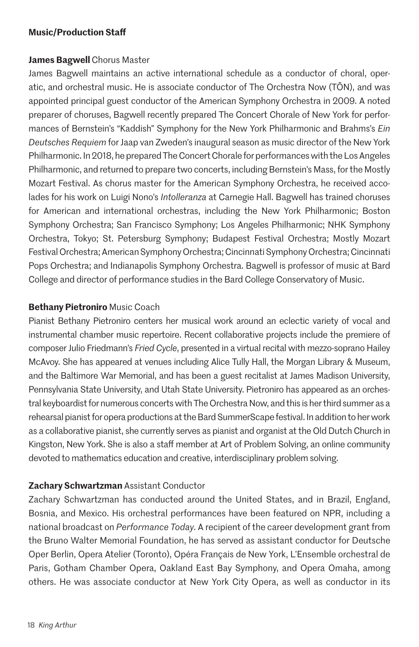## **Music/Production Staff**

## **James Bagwell** Chorus Master

James Bagwell maintains an active international schedule as a conductor of choral, operatic, and orchestral music. He is associate conductor of The Orchestra Now (TŌN), and was appointed principal guest conductor of the American Symphony Orchestra in 2009. A noted preparer of choruses, Bagwell recently prepared The Concert Chorale of New York for performances of Bernstein's "Kaddish" Symphony for the New York Philharmonic and Brahms's *Ein Deutsches Requiem* for Jaap van Zweden's inaugural season as music director of the New York Philharmonic. In 2018, he prepared The Concert Chorale for performances with the Los Angeles Philharmonic, and returned to prepare two concerts, including Bernstein's Mass, for the Mostly Mozart Festival. As chorus master for the American Symphony Orchestra, he received accolades for his work on Luigi Nono's *Intolleranza* at Carnegie Hall. Bagwell has trained choruses for American and international orchestras, including the New York Philharmonic; Boston Symphony Orchestra; San Francisco Symphony; Los Angeles Philharmonic; NHK Symphony Orchestra, Tokyo; St. Petersburg Symphony; Budapest Festival Orchestra; Mostly Mozart Festival Orchestra; American Symphony Orchestra; Cincinnati Symphony Orchestra; Cincinnati Pops Orchestra; and Indianapolis Symphony Orchestra. Bagwell is professor of music at Bard College and director of performance studies in the Bard College Conservatory of Music.

## **Bethany Pietroniro** Music Coach

Pianist Bethany Pietroniro centers her musical work around an eclectic variety of vocal and instrumental chamber music repertoire. Recent collaborative projects include the premiere of composer Julio Friedmann's *Fried Cycle*, presented in a virtual recital with mezzo-soprano Hailey McAvoy. She has appeared at venues including Alice Tully Hall, the Morgan Library & Museum, and the Baltimore War Memorial, and has been a guest recitalist at James Madison University, Pennsylvania State University, and Utah State University. Pietroniro has appeared as an orchestral keyboardist for numerous concerts with The Orchestra Now, and this is her third summer as a rehearsal pianist for opera productions at the Bard SummerScape festival. In addition to her work as a collaborative pianist, she currently serves as pianist and organist at the Old Dutch Church in Kingston, New York. She is also a staff member at Art of Problem Solving, an online community devoted to mathematics education and creative, interdisciplinary problem solving.

## **Zachary Schwartzman** Assistant Conductor

Zachary Schwartzman has conducted around the United States, and in Brazil, England, Bosnia, and Mexico. His orchestral performances have been featured on NPR, including a national broadcast on *Performance Today*. A recipient of the career development grant from the Bruno Walter Memorial Foundation, he has served as assistant conductor for Deutsche Oper Berlin, Opera Atelier (Toronto), Opéra Français de New York, L'Ensemble orchestral de Paris, Gotham Chamber Opera, Oakland East Bay Symphony, and Opera Omaha, among others. He was associate conductor at New York City Opera, as well as conductor in its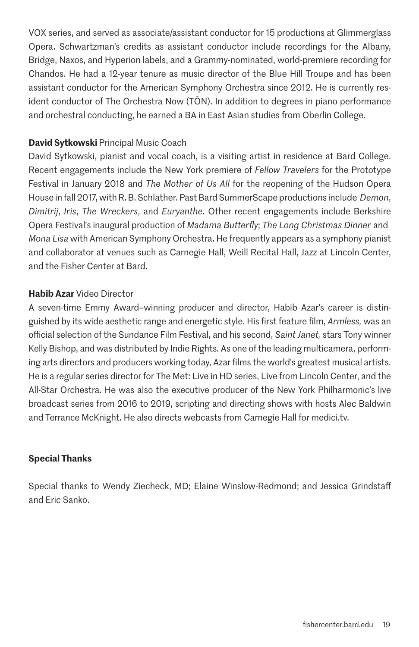VOX series, and served as associate/assistant conductor for 15 productions at Glimmerglass Opera. Schwartzman's credits as assistant conductor include recordings for the Albany, Bridge, Naxos, and Hyperion labels, and a Grammy-nominated, world-premiere recording for Chandos. He had a 12-year tenure as music director of the Blue Hill Troupe and has been assistant conductor for the American Symphony Orchestra since 2012. He is currently resident conductor of The Orchestra Now (TŌN). In addition to degrees in piano performance and orchestral conducting, he earned a BA in East Asian studies from Oberlin College.

## **David Sytkowski** Principal Music Coach

David Sytkowski, pianist and vocal coach, is a visiting artist in residence at Bard College. Recent engagements include the New York premiere of *Fellow Travelers* for the Prototype Festival in January 2018 and *The Mother of Us All* for the reopening of the Hudson Opera House in fall 2017, with R. B. Schlather. Past Bard SummerScape productions include *Demon*, *Dimitrij*, *Iris*, *The Wreckers*, and *Euryanthe*. Other recent engagements include Berkshire Opera Festival's inaugural production of *Madama Butterfly*; *The Long Christmas Dinner* and *Mona Lisa* with American Symphony Orchestra. He frequently appears as a symphony pianist and collaborator at venues such as Carnegie Hall, Weill Recital Hall, Jazz at Lincoln Center, and the Fisher Center at Bard.

## **Habib Azar** Video Director

A seven-time Emmy Award–winning producer and director, Habib Azar's career is distinguished by its wide aesthetic range and energetic style. His first feature film, *Armless,* was an official selection of the Sundance Film Festival, and his second, *Saint Janet,* stars Tony winner Kelly Bishop, and was distributed by Indie Rights. As one of the leading multicamera, performing arts directors and producers working today, Azar films the world's greatest musical artists. He is a regular series director for The Met: Live in HD series, Live from Lincoln Center, and the All-Star Orchestra. He was also the executive producer of the New York Philharmonic's live broadcast series from 2016 to 2019, scripting and directing shows with hosts Alec Baldwin and Terrance McKnight. He also directs webcasts from Carnegie Hall for medici.tv.

## **Special Thanks**

Special thanks to Wendy Ziecheck, MD; Elaine Winslow-Redmond; and Jessica Grindstaff and Eric Sanko.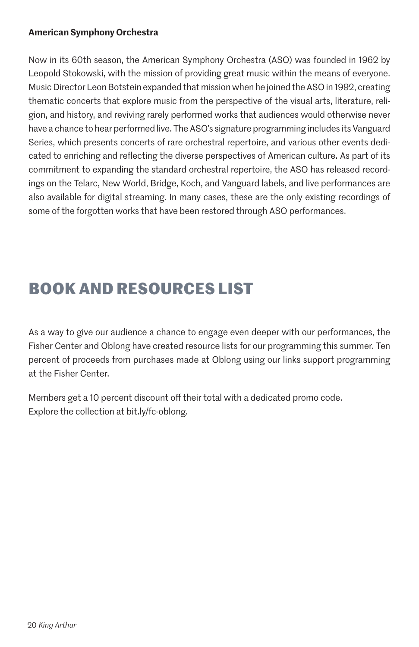## **American Symphony Orchestra**

Now in its 60th season, the American Symphony Orchestra (ASO) was founded in 1962 by Leopold Stokowski, with the mission of providing great music within the means of everyone. Music Director Leon Botstein expanded that mission when he joined the ASO in 1992, creating thematic concerts that explore music from the perspective of the visual arts, literature, religion, and history, and reviving rarely performed works that audiences would otherwise never have a chance to hear performed live. The ASO's signature programming includes its Vanguard Series, which presents concerts of rare orchestral repertoire, and various other events dedicated to enriching and reflecting the diverse perspectives of American culture. As part of its commitment to expanding the standard orchestral repertoire, the ASO has released recordings on the Telarc, New World, Bridge, Koch, and Vanguard labels, and live performances are also available for digital streaming. In many cases, these are the only existing recordings of some of the forgotten works that have been restored through ASO performances.

# **BOOK AND RESOURCES LIST**

As a way to give our audience a chance to engage even deeper with our performances, the Fisher Center and Oblong have created resource lists for our programming this summer. Ten percent of proceeds from purchases made at Oblong using our links support programming at the Fisher Center.

Members get a 10 percent discount off their total with a dedicated promo code. Explore the collection at bit.ly/fc-oblong.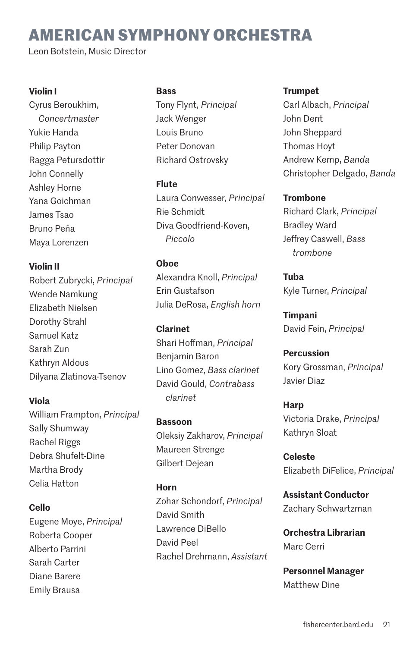# **AMERICAN SYMPHONY ORCHESTRA**

Leon Botstein, Music Director

## **Violin I**

Cyrus Beroukhim, *Concertmaster* Yukie Handa Philip Payton Ragga Petursdottir John Connelly Ashley Horne Yana Goichman James Tsao Bruno Peña Maya Lorenzen

## **Violin II**

Robert Zubrycki, *Principal* Wende Namkung Elizabeth Nielsen Dorothy Strahl Samuel Katz Sarah Zun Kathryn Aldous Dilyana Zlatinova-Tsenov

## **Viola**

William Frampton, *Principal* Sally Shumway Rachel Riggs Debra Shufelt-Dine Martha Brody Celia Hatton

## **Cello**

Eugene Moye, *Principal* Roberta Cooper Alberto Parrini Sarah Carter Diane Barere Emily Brausa

## **Bass**

Tony Flynt, *Principal* Jack Wenger Louis Bruno Peter Donovan Richard Ostrovsky

## **Flute**

Laura Conwesser, *Principal* Rie Schmidt Diva Goodfriend-Koven, *Piccolo*

## **Oboe**

Alexandra Knoll, *Principal* Erin Gustafson Julia DeRosa, *English horn*

**Clarinet** Shari Hoffman, *Principal* Benjamin Baron Lino Gomez, *Bass clarinet* David Gould, *Contrabass clarinet*

**Bassoon** Oleksiy Zakharov, *Principal* Maureen Strenge Gilbert Dejean

## **Horn**

Zohar Schondorf, *Principal* David Smith Lawrence DiBello David Peel Rachel Drehmann, *Assistant*

## **Trumpet**

Carl Albach, *Principal* John Dent John Sheppard Thomas Hoyt Andrew Kemp, *Banda* Christopher Delgado, *Banda*

## **Trombone**

Richard Clark, *Principal* Bradley Ward Jeffrey Caswell, *Bass trombone*

**Tuba** Kyle Turner, *Principal*

**Timpani** David Fein, *Principal*

**Percussion** Kory Grossman, *Principal* Javier Diaz

**Harp** Victoria Drake, *Principal* Kathryn Sloat

**Celeste** Elizabeth DiFelice, *Principal*

**Assistant Conductor** Zachary Schwartzman

**Orchestra Librarian** Marc Cerri

**Personnel Manager** Matthew Dine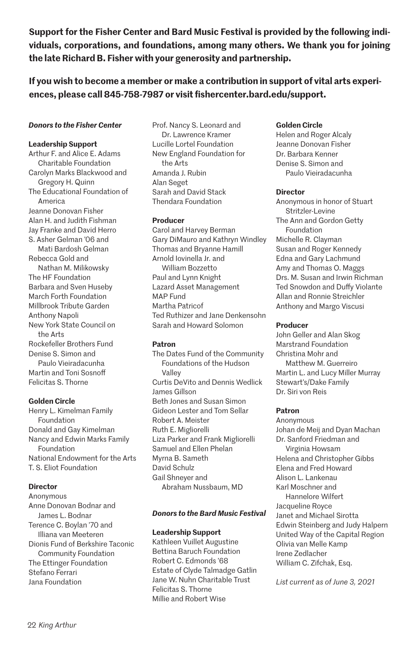**Support for the Fisher Center and Bard Music Festival is provided by the following individuals, corporations, and foundations, among many others. We thank you for joining the late Richard B. Fisher with your generosity and partnership.**

**If you wish to become a member or make a contribution in support of vital arts experiences, please call 845-758-7987 or visit fishercenter.bard.edu/support.**

#### *Donors to the Fisher Center*

#### **Leadership Support**

Arthur F. and Alice E. Adams Charitable Foundation Carolyn Marks Blackwood and Gregory H. Quinn The Educational Foundation of America Jeanne Donovan Fisher Alan H. and Judith Fishman Jay Franke and David Herro S. Asher Gelman '06 and Mati Bardosh Gelman Rebecca Gold and Nathan M. Milikowsky The HF Foundation Barbara and Sven Huseby March Forth Foundation Millbrook Tribute Garden Anthony Napoli New York State Council on the Arts Rockefeller Brothers Fund Denise S. Simon and Paulo Vieiradacunha Martin and Toni Sosnoff Felicitas S. Thorne

#### **Golden Circle**

Henry L. Kimelman Family Foundation Donald and Gay Kimelman Nancy and Edwin Marks Family Foundation National Endowment for the Arts T. S. Eliot Foundation

#### **Director**

Anonymous Anne Donovan Bodnar and James L. Bodnar Terence C. Boylan '70 and Illiana van Meeteren Dionis Fund of Berkshire Taconic Community Foundation The Ettinger Foundation Stefano Ferrari Jana Foundation

Prof. Nancy S. Leonard and Dr. Lawrence Kramer Lucille Lortel Foundation New England Foundation for the Arts Amanda J. Rubin Alan Seget Sarah and David Stack Thendara Foundation

#### **Producer**

Carol and Harvey Berman Gary DiMauro and Kathryn Windley Thomas and Bryanne Hamill Arnold Iovinella Jr. and William Bozzetto Paul and Lynn Knight Lazard Asset Management MAP Fund Martha Patricof Ted Ruthizer and Jane Denkensohn Sarah and Howard Solomon

#### **Patron**

The Dates Fund of the Community Foundations of the Hudson Valley Curtis DeVito and Dennis Wedlick James Gillson Beth Jones and Susan Simon Gideon Lester and Tom Sellar Robert A. Meister Ruth E. Migliorelli Liza Parker and Frank Migliorelli Samuel and Ellen Phelan Myrna B. Sameth David Schulz Gail Shneyer and Abraham Nussbaum, MD

#### *Donors to the Bard Music Festival*

#### **Leadership Support**

Kathleen Vuillet Augustine Bettina Baruch Foundation Robert C. Edmonds '68 Estate of Clyde Talmadge Gatlin Jane W. Nuhn Charitable Trust Felicitas S. Thorne Millie and Robert Wise

#### **Golden Circle**

Helen and Roger Alcaly Jeanne Donovan Fisher Dr. Barbara Kenner Denise S. Simon and Paulo Vieiradacunha

#### **Director**

Anonymous in honor of Stuart Stritzler-Levine The Ann and Gordon Getty Foundation Michelle R. Clayman Susan and Roger Kennedy Edna and Gary Lachmund Amy and Thomas O. Maggs Drs. M. Susan and Irwin Richman Ted Snowdon and Duffy Violante Allan and Ronnie Streichler Anthony and Margo Viscusi

#### **Producer**

John Geller and Alan Skog Marstrand Foundation Christina Mohr and Matthew M. Guerreiro Martin L. and Lucy Miller Murray Stewart's/Dake Family Dr. Siri von Reis

#### **Patron**

Anonymous Johan de Meij and Dyan Machan Dr. Sanford Friedman and Virginia Howsam Helena and Christopher Gibbs Elena and Fred Howard Alison L. Lankenau Karl Moschner and Hannelore Wilfert Jacqueline Royce Janet and Michael Sirotta Edwin Steinberg and Judy Halpern United Way of the Capital Region Olivia van Melle Kamp Irene Zedlacher William C. Zifchak, Esq.

*List current as of June 3, 2021*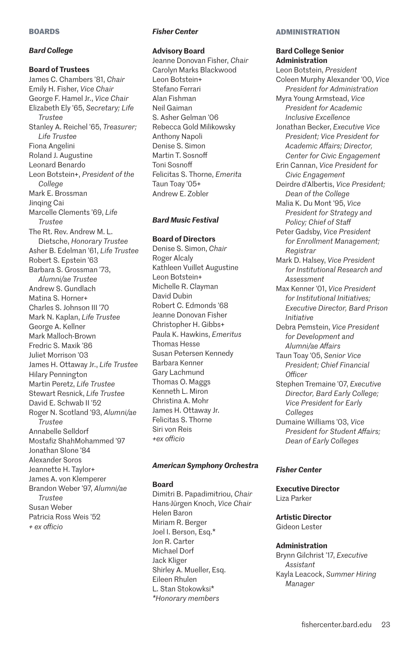#### **BOARDS**

#### *Bard College*

#### **Board of Trustees**

James C. Chambers '81, *Chair* Emily H. Fisher, *Vice Chair* George F. Hamel Jr., *Vice Chair* Elizabeth Ely '65, *Secretary; Life Trustee* Stanley A. Reichel '65, *Treasurer; Life Trustee* Fiona Angelini Roland J. Augustine Leonard Benardo Leon Botstein+, *President of the College* Mark E. Brossman Jinqing Cai Marcelle Clements '69, *Life Trustee* The Rt. Rev. Andrew M. L. Dietsche, *Honorary Trustee* Asher B. Edelman '61, *Life Trustee* Robert S. Epstein '63 Barbara S. Grossman '73, *Alumni/ae Trustee* Andrew S. Gundlach Matina S. Horner+ Charles S. Johnson III '70 Mark N. Kaplan, *Life Trustee* George A. Kellner Mark Malloch-Brown Fredric S. Maxik '86 Juliet Morrison '03 James H. Ottaway Jr., *Life Trustee* Hilary Pennington Martin Peretz, *Life Trustee* Stewart Resnick, *Life Trustee* David E. Schwab II '52 Roger N. Scotland '93, *Alumni/ae Trustee* Annabelle Selldorf Mostafiz ShahMohammed '97 Jonathan Slone '84 Alexander Soros Jeannette H. Taylor+ James A. von Klemperer Brandon Weber '97, *Alumni/ae Trustee* Susan Weber Patricia Ross Weis '52 *+ ex officio*

#### *Fisher Center*

#### **Advisory Board**

Jeanne Donovan Fisher, *Chair* Carolyn Marks Blackwood Leon Botstein+ Stefano Ferrari Alan Fishman Neil Gaiman S. Asher Gelman '06 Rebecca Gold Milikowsky Anthony Napoli Denise S. Simon Martin T. Sosnoff Toni Sosnoff Felicitas S. Thorne, *Emerita* Taun Toay '05+ Andrew E. Zobler

#### *Bard Music Festival*

#### **Board of Directors**

Denise S. Simon, *Chair* Roger Alcaly Kathleen Vuillet Augustine Leon Botstein+ Michelle R. Clayman David Dubin Robert C. Edmonds '68 Jeanne Donovan Fisher Christopher H. Gibbs+ Paula K. Hawkins, *Emeritus* Thomas Hesse Susan Petersen Kennedy Barbara Kenner Gary Lachmund Thomas O. Maggs Kenneth L. Miron Christina A. Mohr James H. Ottaway Jr. Felicitas S. Thorne Siri von Reis *+ex officio*

#### *American Symphony Orchestra*

#### **Board**

Dimitri B. Papadimitriou, *Chair* Hans-Jürgen Knoch, *Vice Chair* Helen Baron Miriam R. Berger Joel I. Berson, Esq.\* Jon R. Carter Michael Dorf Jack Kliger Shirley A. Mueller, Esq. Eileen Rhulen L. Stan Stokowksi\* *\*Honorary members*

#### **ADMINISTRATION**

#### **Bard College Senior Administration**

Leon Botstein, *President* Coleen Murphy Alexander '00, *Vice President for Administration* Myra Young Armstead, *Vice President for Academic Inclusive Excellence* Jonathan Becker, *Executive Vice President; Vice President for Academic Affairs; Director, Center for Civic Engagement* Erin Cannan, *Vice President for Civic Engagement* Deirdre d'Albertis, *Vice President; Dean of the College* Malia K. Du Mont '95, *Vice President for Strategy and Policy; Chief of Staff* Peter Gadsby, *Vice President for Enrollment Management; Registrar* Mark D. Halsey, *Vice President for Institutional Research and Assessment* Max Kenner '01, *Vice President for Institutional Initiatives; Executive Director, Bard Prison Initiative* Debra Pemstein, *Vice President for Development and Alumni/ae Affairs* Taun Toay '05, *Senior Vice President; Chief Financial Officer* Stephen Tremaine '07, *Executive Director, Bard Early College; Vice President for Early Colleges* Dumaine Williams '03, *Vice President for Student Affairs; Dean of Early Colleges*

#### *Fisher Center*

**Executive Director** Liza Parker

## **Artistic Director**

Gideon Lester

#### **Administration**

Brynn Gilchrist '17, *Executive Assistant* Kayla Leacock, *Summer Hiring Manager*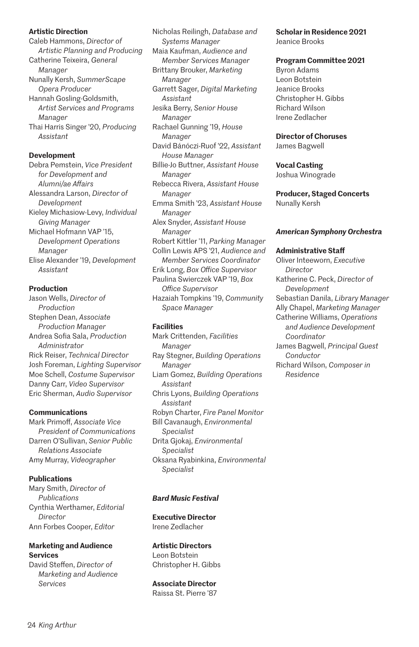#### **Artistic Direction**

Caleb Hammons, *Director of Artistic Planning and Producing* Catherine Teixeira, *General Manager* Nunally Kersh, *SummerScape Opera Producer* Hannah Gosling-Goldsmith, *Artist Services and Programs Manager* Thai Harris Singer '20, *Producing Assistant* **Development**

Debra Pemstein, *Vice President for Development and Alumni/ae Affairs* Alessandra Larson, *Director of Development* Kieley Michasiow-Levy, *Individual Giving Manager* Michael Hofmann VAP '15, *Development Operations Manager* Elise Alexander '19, *Development Assistant*

#### **Production**

Jason Wells, *Director of Production* Stephen Dean, *Associate Production Manager* Andrea Sofia Sala, *Production Administrator* Rick Reiser, *Technical Director* Josh Foreman, *Lighting Supervisor* Moe Schell, *Costume Supervisor* Danny Carr, *Video Supervisor* Eric Sherman, *Audio Supervisor*

#### **Communications**

Mark Primoff, *Associate Vice President of Communications* Darren O'Sullivan, *Senior Public Relations Associate* Amy Murray, *Videographer*

#### **Publications**

Mary Smith, *Director of Publications* Cynthia Werthamer, *Editorial Director* Ann Forbes Cooper, *Editor*

#### **Marketing and Audience Services**

David Steffen, *Director of Marketing and Audience Services*

Nicholas Reilingh, *Database and Systems Manager* Maia Kaufman, *Audience and Member Services Manager* Brittany Brouker, *Marketing Manager* Garrett Sager, *Digital Marketing Assistant* Jesika Berry, *Senior House Manager* Rachael Gunning '19, *House Manager* David Bánóczi-Ruof '22, *Assistant House Manager* Billie-Jo Buttner, *Assistant House Manager* Rebecca Rivera, *Assistant House Manager* Emma Smith '23, *Assistant House Manager* Alex Snyder, *Assistant House Manager* Robert Kittler '11, *Parking Manager* Collin Lewis APS '21, *Audience and Member Services Coordinator* Erik Long, *Box Office Supervisor* Paulina Swierczek VAP '19, *Box Office Supervisor* Hazaiah Tompkins '19, *Community Space Manager*

#### **Facilities**

Mark Crittenden, *Facilities Manager* Ray Stegner, *Building Operations Manager* Liam Gomez, *Building Operations Assistant* Chris Lyons, *Building Operations Assistant* Robyn Charter, *Fire Panel Monitor* Bill Cavanaugh, *Environmental Specialist* Drita Gjokaj, *Environmental Specialist* Oksana Ryabinkina, *Environmental Specialist*

#### *Bard Music Festival*

#### **Executive Director** Irene Zedlacher

**Artistic Directors** Leon Botstein

Christopher H. Gibbs

## **Associate Director**

Raissa St. Pierre '87

**Scholar in Residence 2021** Jeanice Brooks

#### **Program Committee 2021**

Byron Adams Leon Botstein Jeanice Brooks Christopher H. Gibbs Richard Wilson Irene Zedlacher

#### **Director of Choruses**

James Bagwell

#### **Vocal Casting**

Joshua Winograde

#### **Producer, Staged Concerts** Nunally Kersh

#### *American Symphony Orchestra*

#### **Administrative Staff**

Oliver Inteeworn, *Executive Director* Katherine C. Peck, *Director of Development*  Sebastian Danila, *Library Manager* Ally Chapel, *Marketing Manager* Catherine Williams, *Operations and Audience Development Coordinator* James Bagwell, *Principal Guest Conductor* Richard Wilson, *Composer in Residence*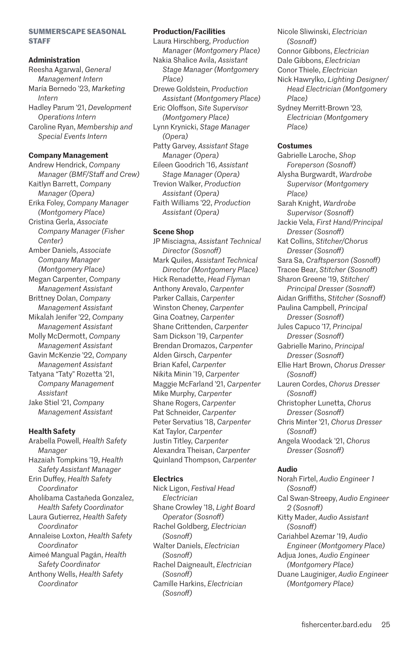#### **SUMMERSCAPE SEASONAL STAFF**

#### **Administration**

Reesha Agarwal, *General Management Intern* María Bernedo '23, *Marketing Intern* Hadley Parum '21, *Development Operations Intern* Caroline Ryan, *Membership and Special Events Intern*

#### **Company Management**

Andrew Hendrick, *Company Manager (BMF/Staff and Crew)* Kaitlyn Barrett, *Company Manager (Opera)* Erika Foley, *Company Manager (Montgomery Place)* Cristina Gerla, *Associate Company Manager (Fisher Center)* Amber Daniels, *Associate Company Manager (Montgomery Place)* Megan Carpenter, *Company Management Assistant* Brittney Dolan, *Company Management Assistant* Mikalah Jenifer '22, *Company Management Assistant* Molly McDermott, *Company Management Assistant* Gavin McKenzie '22, *Company Management Assistant* Tatyana "Taty" Rozetta '21, *Company Management Assistant* Jake Stiel '21, *Company Management Assistant*

#### **Health Safety**

Arabella Powell, *Health Safety Manager* Hazaiah Tompkins '19, *Health Safety Assistant Manager* Erin Duffey, *Health Safety Coordinator* Aholibama Castañeda Gonzalez, *Health Safety Coordinator* Laura Gutierrez, *Health Safety Coordinator* Annaleise Loxton, *Health Safety Coordinator* Aimeé Mangual Pagán, *Health Safety Coordinator* Anthony Wells, *Health Safety Coordinator*

#### **Production/Facilities**

Laura Hirschberg, *Production Manager (Montgomery Place)* Nakia Shalice Avila, *Assistant Stage Manager (Montgomery Place)* Drewe Goldstein, *Production Assistant (Montgomery Place)* Eric Oloffson, *Site Supervisor (Montgomery Place)* Lynn Krynicki, *Stage Manager (Opera)* Patty Garvey, *Assistant Stage Manager (Opera)* Eileen Goodrich '16, *Assistant Stage Manager (Opera)* Trevion Walker, *Production Assistant (Opera)* Faith Williams '22, *Production Assistant (Opera)*

#### **Scene Shop**

JP Misciagna, *Assistant Technical Director (Sosnoff)* Mark Quiles, *Assistant Technical Director (Montgomery Place)* Hick Renadette, *Head Flyman* Anthony Arevalo, *Carpenter* Parker Callais, *Carpenter* Winston Cheney, *Carpenter* Gina Coatney, *Carpenter* Shane Crittenden, *Carpenter* Sam Dickson '19, *Carpenter* Brendan Dromazos, *Carpenter* Alden Girsch, *Carpenter* Brian Kafel, *Carpenter* Nikita Minin '19, *Carpenter* Maggie McFarland '21, *Carpenter* Mike Murphy, *Carpenter* Shane Rogers, *Carpenter* Pat Schneider, *Carpenter* Peter Servatius '18, *Carpenter* Kat Taylor, *Carpenter* Justin Titley, *Carpenter* Alexandra Theisan, *Carpenter* Quinland Thompson, *Carpenter*

#### **Electrics**

Nick Ligon, *Festival Head Electrician* Shane Crowley '18, *Light Board Operator (Sosnoff)* Rachel Goldberg, *Electrician (Sosnoff)* Walter Daniels, *Electrician (Sosnoff)* Rachel Daigneault, *Electrician (Sosnoff)* Camille Harkins, *Electrician (Sosnoff)*

Nicole Sliwinski, *Electrician (Sosnoff)* Connor Gibbons, *Electrician* Dale Gibbons, *Electrician* Conor Thiele, *Electrician* Nick Hawrylko, *Lighting Designer/ Head Electrician (Montgomery Place)* Sydney Merritt-Brown '23*, Electrician (Montgomery Place)*

#### **Costumes**

Gabrielle Laroche, *Shop Foreperson (Sosnoff)* Alysha Burgwardt, *Wardrobe Supervisor (Montgomery Place)* Sarah Knight, *Wardrobe Supervisor (Sosnoff)* Jackie Vela, *First Hand/Principal Dresser (Sosnoff)* Kat Collins, *Stitcher/Chorus Dresser (Sosnoff)* Sara Sa, *Craftsperson (Sosnoff)* Tracee Bear, *Stitcher (Sosnoff)* Sharon Greene '19, *Stitcher/ Principal Dresser (Sosnoff)* Aidan Griffiths, *Stitcher (Sosnoff)* Paulina Campbell, *Principal Dresser (Sosnoff)* Jules Capuco '17, *Principal Dresser (Sosnoff)* Gabrielle Marino, *Principal Dresser (Sosnoff)* Ellie Hart Brown, *Chorus Dresser (Sosnoff)* Lauren Cordes, *Chorus Dresser (Sosnoff)* Christopher Lunetta, *Chorus Dresser (Sosnoff)* Chris Minter '21, *Chorus Dresser (Sosnoff)* Angela Woodack '21, *Chorus Dresser (Sosnoff)*

#### **Audio**

Norah Firtel, *Audio Engineer 1 (Sosnoff)* Cal Swan-Streepy, *Audio Engineer 2 (Sosnoff)* Kitty Mader, *Audio Assistant (Sosnoff)* Cariahbel Azemar '19, *Audio Engineer (Montgomery Place)* Adjua Jones, *Audio Engineer (Montgomery Place)* Duane Lauginiger, *Audio Engineer (Montgomery Place)*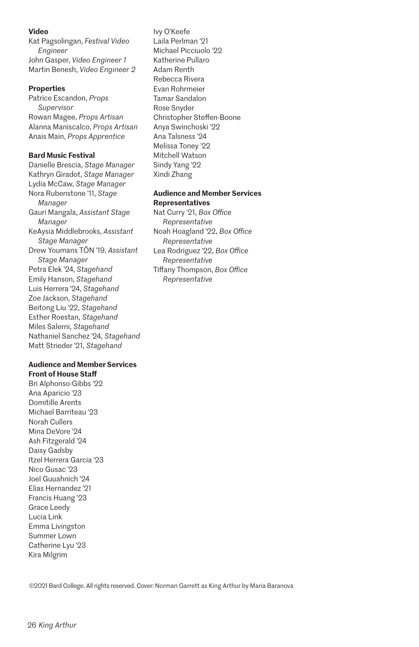#### **Video**

Kat Pagsolingan, *Festival Video Engineer* John Gasper, *Video Engineer 1* Martin Benesh, *Video Engineer 2*

#### **Properties**

Patrice Escandon, *Props Supervisor* Rowan Magee, *Props Artisan* Alanna Maniscalco, *Props Artisan* Anais Main, *Props Apprentice*

#### **Bard Music Festival**

Danielle Brescia, *Stage Manager* Kathryn Giradot, *Stage Manager* Lydia McCaw, *Stage Manager* Nora Rubenstone '11, *Stage Manager* Gauri Mangala, *Assistant Stage Manager* KeAysia Middlebrooks, *Assistant Stage Manager* Drew Youmans TŌN '19, *Assistant Stage Manager* Petra Elek '24, *Stagehand* Emily Hanson, *Stagehand* Luis Herrera '24, *Stagehand* Zoe Jackson, *Stagehand* Beitong Liu '22, *Stagehand* Esther Roestan, *Stagehand* Miles Salerni, *Stagehand* Nathaniel Sanchez '24, *Stagehand* Matt Strieder '21, *Stagehand*

#### **Audience and Member Services Front of House Staff**

Bri Alphonso-Gibbs '22 Ana Aparicio '23 Domitille Arents Michael Barriteau '23 Norah Cullers Mina DeVore '24 Ash Fitzgerald '24 Daisy Gadsby Itzel Herrera Garcia '23 Nico Gusac '23 Joel Guuahnich '24 Elias Hernandez '21 Francis Huang '23 Grace Leedy Lucia Link Emma Livingston Summer Lown Catherine Lyu '23 Kira Milgrim

Ivy O'Keefe Laila Perlman '21 Michael Picciuolo '22 Katherine Pullaro Adam Renth Rebecca Rivera Evan Rohrmeier Tamar Sandalon Rose Snyder Christopher Steffen-Boone Anya Swinchoski '22 Ana Talsness '24 Melissa Toney '22 Mitchell Watson Sindy Yang '22 Xindi Zhang

#### **Audience and Member Services Representatives**

Nat Curry '21, *Box Office Representative* Noah Hoagland '22, *Box Office Representative* Lea Rodriguez '22, *Box Office Representative* Tiffany Thompson, *Box Office Representative*

©2021 Bard College. All rights reserved. Cover: Norman Garrett as King Arthur by Maria Baranova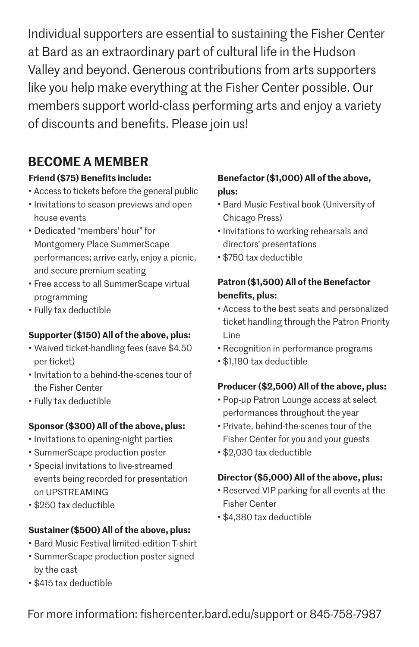Individual supporters are essential to sustaining the Fisher Center at Bard as an extraordinary part of cultural life in the Hudson Valley and beyond. Generous contributions from arts supporters like you help make everything at the Fisher Center possible. Our members support world-class performing arts and enjoy a variety of discounts and benefits. Please join us!

## **BECOME A MEMBER**

## **Friend (\$75) Benefits include:**

- Access to tickets before the general public
- Invitations to season previews and open house events
- Dedicated "members' hour" for Montgomery Place SummerScape performances; arrive early, enjoy a picnic, and secure premium seating
- Free access to all SummerScape virtual programming
- Fully tax deductible

## **Supporter (\$150) All of the above, plus:**

- Waived ticket-handling fees (save \$4.50 per ticket)
- Invitation to a behind-the-scenes tour of the Fisher Center
- Fully tax deductible

## **Sponsor (\$300) All of the above, plus:**

- Invitations to opening-night parties
- SummerScape production poster
- Special invitations to live-streamed events being recorded for presentation on UPSTREAMING
- \$250 tax deductible

## **Sustainer (\$500) All of the above, plus:**

- Bard Music Festival limited-edition T-shirt
- SummerScape production poster signed by the cast
- \$415 tax deductible

## **Benefactor (\$1,000) All of the above, plus:**

- Bard Music Festival book (University of Chicago Press)
- Invitations to working rehearsals and directors' presentations
- \$750 tax deductible

## **Patron (\$1,500) All of the Benefactor benefits, plus:**

- Access to the best seats and personalized ticket handling through the Patron Priority Line
- Recognition in performance programs
- \$1,180 tax deductible

## **Producer (\$2,500) All of the above, plus:**

- Pop-up Patron Lounge access at select performances throughout the year
- Private, behind-the-scenes tour of the Fisher Center for you and your guests
- \$2,030 tax deductible

## **Director (\$5,000) All of the above, plus:**

- Reserved VIP parking for all events at the Fisher Center
- \$4,380 tax deductible